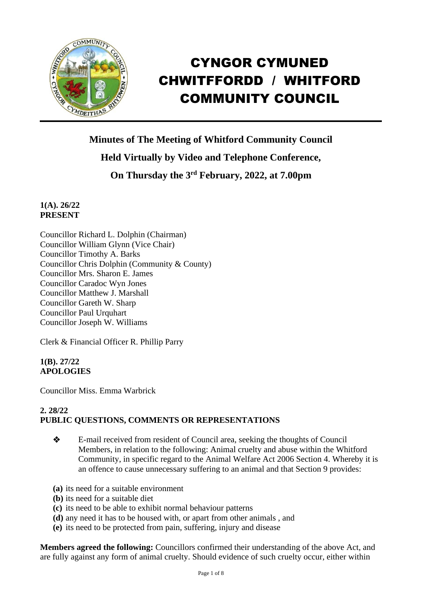

# CYNGOR CYMUNED CHWITFFORDD / WHITFORD COMMUNITY COUNCIL

**Minutes of The Meeting of Whitford Community Council Held Virtually by Video and Telephone Conference,**

**On Thursday the 3 rd February, 2022, at 7.00pm** 

**1(A). 26/22 PRESENT**

Councillor Richard L. Dolphin (Chairman) Councillor William Glynn (Vice Chair) Councillor Timothy A. Barks Councillor Chris Dolphin (Community & County) Councillor Mrs. Sharon E. James Councillor Caradoc Wyn Jones Councillor Matthew J. Marshall Councillor Gareth W. Sharp Councillor Paul Urquhart Councillor Joseph W. Williams

Clerk & Financial Officer R. Phillip Parry

**1(B). 27/22 APOLOGIES**

Councillor Miss. Emma Warbrick

# **2. 28/22 PUBLIC QUESTIONS, COMMENTS OR REPRESENTATIONS**

- ❖ E-mail received from resident of Council area, seeking the thoughts of Council Members, in relation to the following: Animal cruelty and abuse within the Whitford Community, in specific regard to the Animal Welfare Act 2006 Section 4. Whereby it is an offence to cause unnecessary suffering to an animal and that Section 9 provides:
- **(a)** its need for a suitable environment
- **(b)** its need for a suitable diet
- **(c)** its need to be able to exhibit normal behaviour patterns
- **(d)** any need it has to be housed with, or apart from other animals , and
- **(e)** its need to be protected from pain, suffering, injury and disease

**Members agreed the following:** Councillors confirmed their understanding of the above Act, and are fully against any form of animal cruelty. Should evidence of such cruelty occur, either within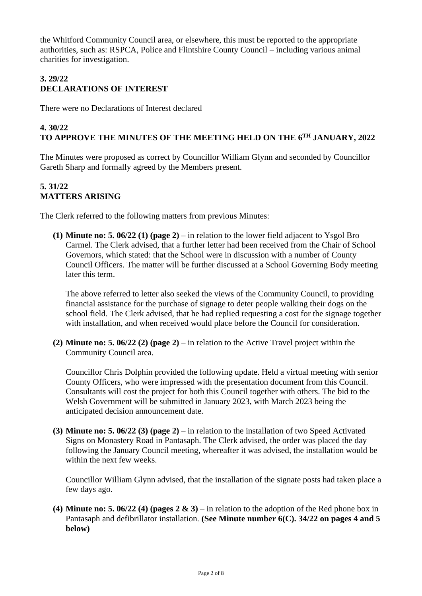the Whitford Community Council area, or elsewhere, this must be reported to the appropriate authorities, such as: RSPCA, Police and Flintshire County Council – including various animal charities for investigation.

# **3. 29/22 DECLARATIONS OF INTEREST**

There were no Declarations of Interest declared

#### **4. 30/22 TO APPROVE THE MINUTES OF THE MEETING HELD ON THE 6 TH JANUARY, 2022**

The Minutes were proposed as correct by Councillor William Glynn and seconded by Councillor Gareth Sharp and formally agreed by the Members present.

# **5. 31/22 MATTERS ARISING**

The Clerk referred to the following matters from previous Minutes:

**(1) Minute no: 5. 06/22 (1) (page 2)** – in relation to the lower field adjacent to Ysgol Bro Carmel. The Clerk advised, that a further letter had been received from the Chair of School Governors, which stated: that the School were in discussion with a number of County Council Officers. The matter will be further discussed at a School Governing Body meeting later this term.

The above referred to letter also seeked the views of the Community Council, to providing financial assistance for the purchase of signage to deter people walking their dogs on the school field. The Clerk advised, that he had replied requesting a cost for the signage together with installation, and when received would place before the Council for consideration.

**(2) Minute no: 5. 06/22 (2) (page 2)** – in relation to the Active Travel project within the Community Council area.

Councillor Chris Dolphin provided the following update. Held a virtual meeting with senior County Officers, who were impressed with the presentation document from this Council. Consultants will cost the project for both this Council together with others. The bid to the Welsh Government will be submitted in January 2023, with March 2023 being the anticipated decision announcement date.

**(3) Minute no: 5. 06/22 (3) (page 2)** – in relation to the installation of two Speed Activated Signs on Monastery Road in Pantasaph. The Clerk advised, the order was placed the day following the January Council meeting, whereafter it was advised, the installation would be within the next few weeks.

Councillor William Glynn advised, that the installation of the signate posts had taken place a few days ago.

**(4) Minute no: 5. 06/22 (4) (pages 2 & 3)** – in relation to the adoption of the Red phone box in Pantasaph and defibrillator installation. **(See Minute number 6(C). 34/22 on pages 4 and 5 below)**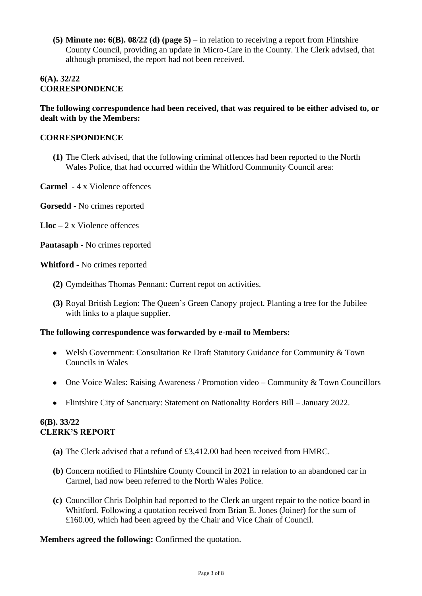**(5) Minute no: 6(B). 08/22 (d) (page 5)** – in relation to receiving a report from Flintshire County Council, providing an update in Micro-Care in the County. The Clerk advised, that although promised, the report had not been received.

#### **6(A). 32/22 CORRESPONDENCE**

#### **The following correspondence had been received, that was required to be either advised to, or dealt with by the Members:**

#### **CORRESPONDENCE**

- **(1)** The Clerk advised, that the following criminal offences had been reported to the North Wales Police, that had occurred within the Whitford Community Council area:
- **Carmel -** 4 x Violence offences
- **Gorsedd -** No crimes reported
- **Lloc –** 2 x Violence offences
- **Pantasaph -** No crimes reported

**Whitford -** No crimes reported

- **(2)** Cymdeithas Thomas Pennant: Current repot on activities.
- **(3)** Royal British Legion: The Queen's Green Canopy project. Planting a tree for the Jubilee with links to a plaque supplier.

# **The following correspondence was forwarded by e-mail to Members:**

- Welsh Government: Consultation Re Draft Statutory Guidance for Community & Town Councils in Wales
- One Voice Wales: Raising Awareness / Promotion video Community & Town Councillors
- Flintshire City of Sanctuary: Statement on Nationality Borders Bill January 2022.

#### **6(B). 33/22 CLERK'S REPORT**

- **(a)** The Clerk advised that a refund of £3,412.00 had been received from HMRC.
- **(b)** Concern notified to Flintshire County Council in 2021 in relation to an abandoned car in Carmel, had now been referred to the North Wales Police.
- **(c)** Councillor Chris Dolphin had reported to the Clerk an urgent repair to the notice board in Whitford. Following a quotation received from Brian E. Jones (Joiner) for the sum of £160.00, which had been agreed by the Chair and Vice Chair of Council.

# **Members agreed the following:** Confirmed the quotation.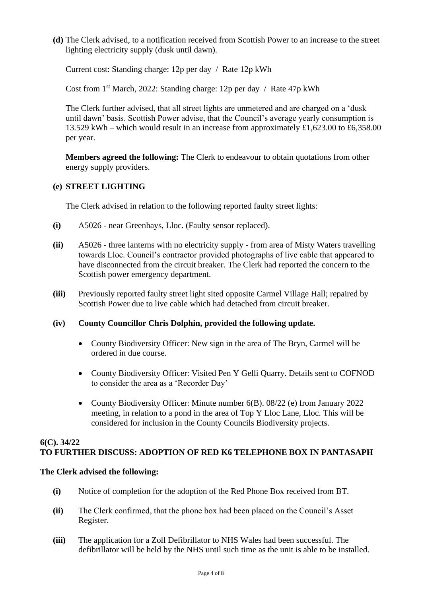**(d)** The Clerk advised, to a notification received from Scottish Power to an increase to the street lighting electricity supply (dusk until dawn).

Current cost: Standing charge: 12p per day / Rate 12p kWh

Cost from 1st March, 2022: Standing charge: 12p per day / Rate 47p kWh

The Clerk further advised, that all street lights are unmetered and are charged on a 'dusk until dawn' basis. Scottish Power advise, that the Council's average yearly consumption is 13.529 kWh – which would result in an increase from approximately £1,623.00 to £6,358.00 per year.

**Members agreed the following:** The Clerk to endeavour to obtain quotations from other energy supply providers.

#### **(e) STREET LIGHTING**

The Clerk advised in relation to the following reported faulty street lights:

- **(i)** A5026 near Greenhays, Lloc. (Faulty sensor replaced).
- **(ii)** A5026 three lanterns with no electricity supply from area of Misty Waters travelling towards Lloc. Council's contractor provided photographs of live cable that appeared to have disconnected from the circuit breaker. The Clerk had reported the concern to the Scottish power emergency department.
- **(iii)** Previously reported faulty street light sited opposite Carmel Village Hall; repaired by Scottish Power due to live cable which had detached from circuit breaker.

# **(iv) County Councillor Chris Dolphin, provided the following update.**

- County Biodiversity Officer: New sign in the area of The Bryn, Carmel will be ordered in due course.
- County Biodiversity Officer: Visited Pen Y Gelli Quarry. Details sent to COFNOD to consider the area as a 'Recorder Day'
- County Biodiversity Officer: Minute number 6(B). 08/22 (e) from January 2022 meeting, in relation to a pond in the area of Top Y Lloc Lane, Lloc. This will be considered for inclusion in the County Councils Biodiversity projects.

#### **6(C). 34/22 TO FURTHER DISCUSS: ADOPTION OF RED K6 TELEPHONE BOX IN PANTASAPH**

#### **The Clerk advised the following:**

- **(i)** Notice of completion for the adoption of the Red Phone Box received from BT.
- **(ii)** The Clerk confirmed, that the phone box had been placed on the Council's Asset Register.
- **(iii)** The application for a Zoll Defibrillator to NHS Wales had been successful. The defibrillator will be held by the NHS until such time as the unit is able to be installed.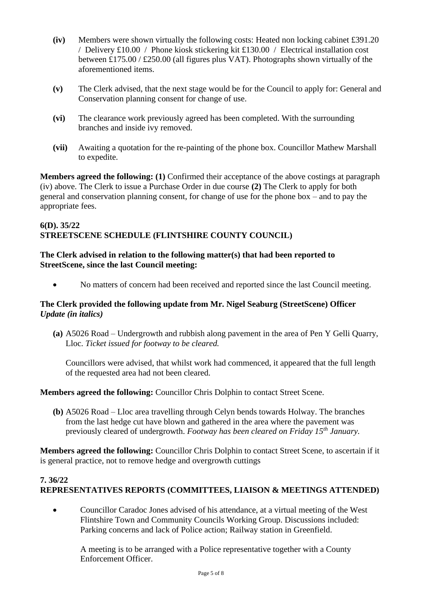- **(iv)** Members were shown virtually the following costs: Heated non locking cabinet £391.20 / Delivery £10.00 / Phone kiosk stickering kit £130.00 / Electrical installation cost between £175.00 / £250.00 (all figures plus VAT). Photographs shown virtually of the aforementioned items.
- **(v)** The Clerk advised, that the next stage would be for the Council to apply for: General and Conservation planning consent for change of use.
- **(vi)** The clearance work previously agreed has been completed. With the surrounding branches and inside ivy removed.
- **(vii)** Awaiting a quotation for the re-painting of the phone box. Councillor Mathew Marshall to expedite.

**Members agreed the following: (1)** Confirmed their acceptance of the above costings at paragraph (iv) above. The Clerk to issue a Purchase Order in due course **(2)** The Clerk to apply for both general and conservation planning consent, for change of use for the phone box – and to pay the appropriate fees.

#### **6(D). 35/22 STREETSCENE SCHEDULE (FLINTSHIRE COUNTY COUNCIL)**

# **The Clerk advised in relation to the following matter(s) that had been reported to StreetScene, since the last Council meeting:**

• No matters of concern had been received and reported since the last Council meeting.

# **The Clerk provided the following update from Mr. Nigel Seaburg (StreetScene) Officer** *Update (in italics)*

**(a)** A5026 Road – Undergrowth and rubbish along pavement in the area of Pen Y Gelli Quarry, Lloc. *Ticket issued for footway to be cleared.*

Councillors were advised, that whilst work had commenced, it appeared that the full length of the requested area had not been cleared.

# **Members agreed the following:** Councillor Chris Dolphin to contact Street Scene.

**(b)** A5026 Road – Lloc area travelling through Celyn bends towards Holway. The branches from the last hedge cut have blown and gathered in the area where the pavement was previously cleared of undergrowth. *Footway has been cleared on Friday 15th January.*

**Members agreed the following:** Councillor Chris Dolphin to contact Street Scene, to ascertain if it is general practice, not to remove hedge and overgrowth cuttings

# **7. 36/22 REPRESENTATIVES REPORTS (COMMITTEES, LIAISON & MEETINGS ATTENDED)**

• Councillor Caradoc Jones advised of his attendance, at a virtual meeting of the West Flintshire Town and Community Councils Working Group. Discussions included: Parking concerns and lack of Police action; Railway station in Greenfield.

A meeting is to be arranged with a Police representative together with a County Enforcement Officer.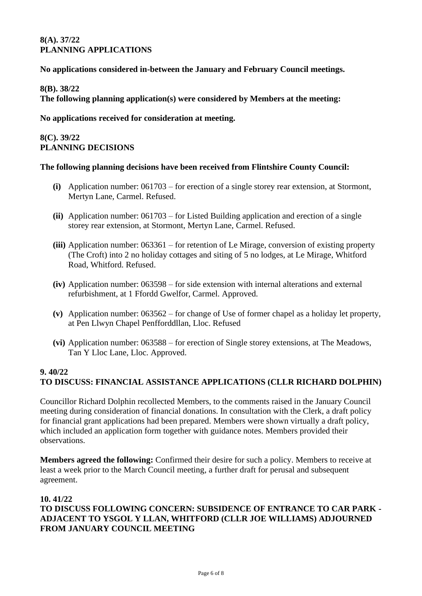#### **8(A). 37/22 PLANNING APPLICATIONS**

#### **No applications considered in-between the January and February Council meetings.**

#### **8(B). 38/22**

**The following planning application(s) were considered by Members at the meeting:**

#### **No applications received for consideration at meeting.**

#### **8(C). 39/22 PLANNING DECISIONS**

#### **The following planning decisions have been received from Flintshire County Council:**

- **(i)** Application number: 061703 for erection of a single storey rear extension, at Stormont, Mertyn Lane, Carmel. Refused.
- **(ii)** Application number: 061703 for Listed Building application and erection of a single storey rear extension, at Stormont, Mertyn Lane, Carmel. Refused.
- **(iii)** Application number: 063361 for retention of Le Mirage, conversion of existing property (The Croft) into 2 no holiday cottages and siting of 5 no lodges, at Le Mirage, Whitford Road, Whitford. Refused.
- **(iv)** Application number: 063598 for side extension with internal alterations and external refurbishment, at 1 Ffordd Gwelfor, Carmel. Approved.
- **(v)** Application number: 063562 for change of Use of former chapel as a holiday let property, at Pen Llwyn Chapel Penfforddllan, Lloc. Refused
- **(vi)** Application number: 063588 for erection of Single storey extensions, at The Meadows, Tan Y Lloc Lane, Lloc. Approved.

# **9. 40/22 TO DISCUSS: FINANCIAL ASSISTANCE APPLICATIONS (CLLR RICHARD DOLPHIN)**

Councillor Richard Dolphin recollected Members, to the comments raised in the January Council meeting during consideration of financial donations. In consultation with the Clerk, a draft policy for financial grant applications had been prepared. Members were shown virtually a draft policy, which included an application form together with guidance notes. Members provided their observations.

**Members agreed the following:** Confirmed their desire for such a policy. Members to receive at least a week prior to the March Council meeting, a further draft for perusal and subsequent agreement.

#### **10. 41/22**

# **TO DISCUSS FOLLOWING CONCERN: SUBSIDENCE OF ENTRANCE TO CAR PARK - ADJACENT TO YSGOL Y LLAN, WHITFORD (CLLR JOE WILLIAMS) ADJOURNED FROM JANUARY COUNCIL MEETING**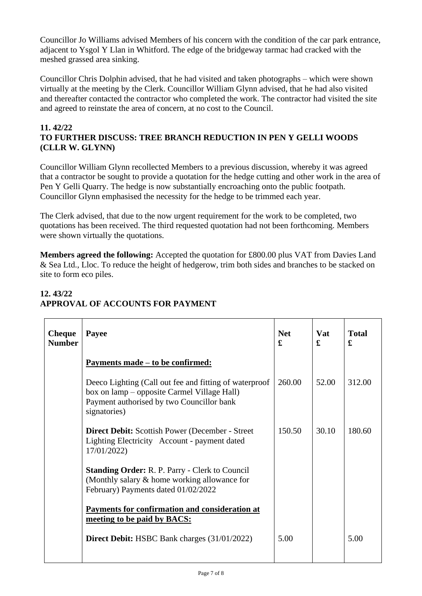Councillor Jo Williams advised Members of his concern with the condition of the car park entrance, adjacent to Ysgol Y Llan in Whitford. The edge of the bridgeway tarmac had cracked with the meshed grassed area sinking.

Councillor Chris Dolphin advised, that he had visited and taken photographs – which were shown virtually at the meeting by the Clerk. Councillor William Glynn advised, that he had also visited and thereafter contacted the contractor who completed the work. The contractor had visited the site and agreed to reinstate the area of concern, at no cost to the Council.

#### **11. 42/22 TO FURTHER DISCUSS: TREE BRANCH REDUCTION IN PEN Y GELLI WOODS (CLLR W. GLYNN)**

Councillor William Glynn recollected Members to a previous discussion, whereby it was agreed that a contractor be sought to provide a quotation for the hedge cutting and other work in the area of Pen Y Gelli Quarry. The hedge is now substantially encroaching onto the public footpath. Councillor Glynn emphasised the necessity for the hedge to be trimmed each year.

The Clerk advised, that due to the now urgent requirement for the work to be completed, two quotations has been received. The third requested quotation had not been forthcoming. Members were shown virtually the quotations.

**Members agreed the following:** Accepted the quotation for £800.00 plus VAT from Davies Land & Sea Ltd., Lloc. To reduce the height of hedgerow, trim both sides and branches to be stacked on site to form eco piles.

| <b>Cheque</b><br><b>Number</b> | Payee                                                                                                                                                              | <b>Net</b><br>£ | <b>Vat</b><br>£ | <b>Total</b><br>£ |
|--------------------------------|--------------------------------------------------------------------------------------------------------------------------------------------------------------------|-----------------|-----------------|-------------------|
|                                | <u>Payments made – to be confirmed:</u>                                                                                                                            |                 |                 |                   |
|                                | Deeco Lighting (Call out fee and fitting of waterproof<br>box on lamp – opposite Carmel Village Hall)<br>Payment authorised by two Councillor bank<br>signatories) | 260.00          | 52.00           | 312.00            |
|                                | <b>Direct Debit:</b> Scottish Power (December - Street)<br>Lighting Electricity Account - payment dated<br>17/01/2022)                                             | 150.50          | 30.10           | 180.60            |
|                                | <b>Standing Order: R. P. Parry - Clerk to Council</b><br>(Monthly salary & home working allowance for<br>February) Payments dated 01/02/2022                       |                 |                 |                   |
|                                | Payments for confirmation and consideration at<br>meeting to be paid by BACS:                                                                                      |                 |                 |                   |
|                                | <b>Direct Debit:</b> HSBC Bank charges (31/01/2022)                                                                                                                | 5.00            |                 | 5.00              |
|                                |                                                                                                                                                                    |                 |                 |                   |

# **12. 43/22 APPROVAL OF ACCOUNTS FOR PAYMENT**